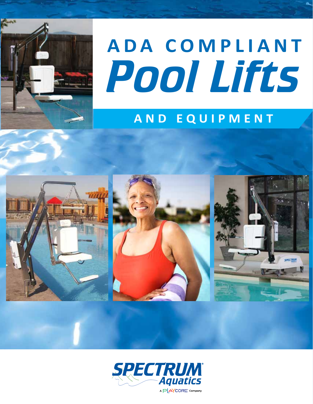

# *Pool Lifts* **ADA COMPLIANT**

# **AND EQUIPMENT**



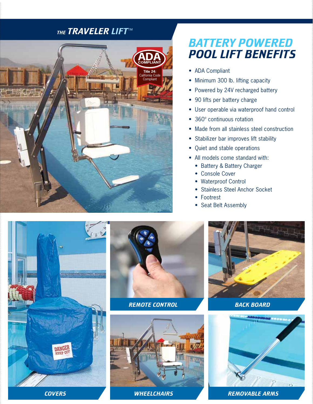## *The traveler lift*™



## *Battery powered pool LIFT BENEFITS*

- ADA Compliant
- Minimum 300 lb. lifting capacity
- Powered by 24V recharged battery
- 90 lifts per battery charge
- User operable via waterproof hand control
- 360° continuous rotation
- Made from all stainless steel construction
- Stabilizer bar improves lift stability
- Quiet and stable operations
- All models come standard with:
	- Battery & Battery Charger
	- Console Cover
	- Waterproof Control
	- Stainless Steel Anchor Socket
	- Footrest
	- Seat Belt Assembly





*remote control back board*







*covers wheelchairs Removable arms*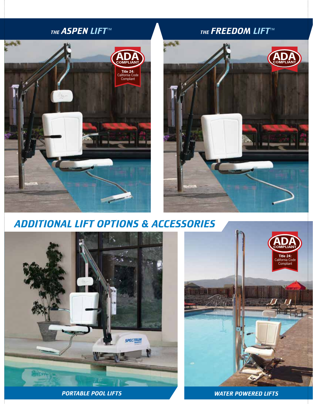## *the aspen lift*™



## *The Freedom lift*™



*additional lift options & accessories*



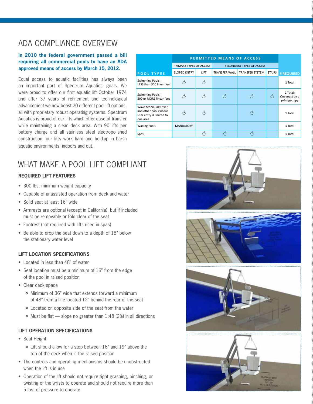## ADA Compliance Overview

#### **In 2010 the federal government passed a bill requiring all commercial pools to have an ADA approved means of access by March 15, 2012.**

Equal access to aquatic facilities has always been an important part of Spectrum Aquatics' goals. We were proud to offer our first aquatic lift October 1974 and after 37 years of refinement and technological advancement we now boast 20 different pool lift options, all with proprietary robust operating systems. Spectrum Aquatics is proud of our lifts which offer ease of transfer while maintaining a clean deck area. With 90 lifts per battery charge and all stainless steel electropolished construction, our lifts work hard and hold-up in harsh aquatic environments, indoors and out.

|                                                                                           | PERMITTED MEANS OF ACCESS |           |                                  |                 |               |                                           |
|-------------------------------------------------------------------------------------------|---------------------------|-----------|----------------------------------|-----------------|---------------|-------------------------------------------|
|                                                                                           | PRIMARY TYPES OF ACCESS   |           | <b>SECONDARY TYPES OF ACCESS</b> |                 |               |                                           |
| <b>POOL TYPES</b>                                                                         | <b>SLOPED ENTRY</b>       | LIFT      | TRANSFER WALL                    | TRANSFER SYSTEM | <b>STAIRS</b> | # REQUIRED                                |
| <b>Swimming Pools:</b><br>LESS than 300 linear feet                                       |                           |           |                                  |                 |               | 1 Total                                   |
| <b>Swimming Pools:</b><br>300 or MORE linear feet                                         | Ą                         | Ą         | Ą                                | Ą               | Ą             | 2 Total:<br>One must be a<br>primary type |
| Wave action, lazy river,<br>and other pools where<br>user entry is limited to<br>one area | ζ3                        | $\lambda$ |                                  | Ą               |               | 1 Total                                   |
| <b>Wading Pools</b>                                                                       | <b>MANDATORY</b>          |           |                                  |                 |               | 1 Total                                   |
| Spas                                                                                      |                           |           | Μ                                |                 |               | 1 Total                                   |

## WHAT MAKE A POOL LIFT COMPLIANT

#### **Required Lift Features**

- 300 lbs. minimum weight capacity
- Capable of unassisted operation from deck and water
- Solid seat at least 16" wide
- Armrests are optional (except in California), but if included must be removable or fold clear of the seat
- Footrest (not required with lifts used in spas)
- Be able to drop the seat down to a depth of 18" below the stationary water level

#### **Lift Location Specifications**

- Located in less than 48" of water
- Seat location must be a minimum of 16" from the edge of the pool in raised position
- Clear deck space
	- Minimum of 36" wide that extends forward a minimum of 48" from a line located 12" behind the rear of the seat
	- Located on opposite side of the seat from the water
	- Must be flat slope no greater than 1:48 (2%) in all directions

#### **Lift Operation Specifications**

- Seat Height
	- Lift should allow for a stop between 16" and 19" above the top of the deck when in the raised position
- The controls and operating mechanisms should be unobstructed when the lift is in use
- Operation of the lift should not require tight grasping, pinching, or twisting of the wrists to operate and should not require more than 5 lbs. of pressure to operate







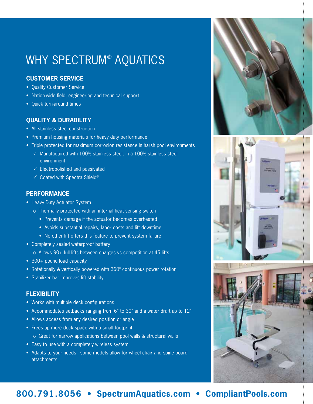## why spectrum® aquatics

#### **Customer service**

- Quality Customer Service
- Nation-wide field, engineering and technical support
- Quick turn-around times

#### **Quality & Durability**

- All stainless steel construction
- Premium housing materials for heavy duty performance
- Triple protected for maximum corrosion resistance in harsh pool environments
	- $\checkmark$  Manufactured with 100% stainless steel, in a 100% stainless steel environment
	- $\checkmark$  Electropolished and passivated
	- $\checkmark$  Coated with Spectra Shield®

#### **Performance**

- Heavy Duty Actuator System
	- o Thermally protected with an internal heat sensing switch
		- Prevents damage if the actuator becomes overheated
		- Avoids substantial repairs, labor costs and lift downtime
		- No other lift offers this feature to prevent system failure
- Completely sealed waterproof battery
	- o Allows 90+ full lifts between charges vs competition at 45 lifts
- 300+ pound load capacity
- Rotationally & vertically powered with 360° continuous power rotation
- Stabilizer bar improves lift stability

#### **Flexibility**

- Works with multiple deck configurations
- Accommodates setbacks ranging from 6" to 30" and a water draft up to 12"
- Allows access from any desired position or angle
- Frees up more deck space with a small footprint
	- o Great for narrow applications between pool walls & structural walls
- Easy to use with a completely wireless system
- Adapts to your needs some models allow for wheel chair and spine board attachments





## **800.791.8056 • SpectrumAquatics.com • CompliantPools.com**